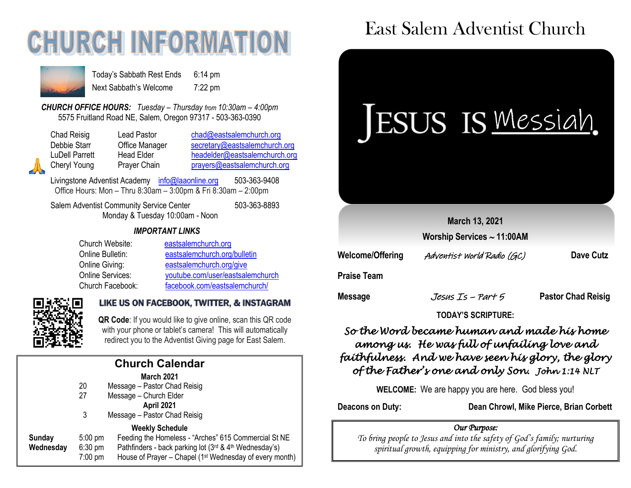# **CHURCH INFORMATI**



Today's Sabbath Rest Ends 6:14 pm Next Sabbath's Welcome 7:22 pm

*CHURCH OFFICE HOURS: Tuesday – Thursday from 10:30am – 4:00pm* 5575 Fruitland Road NE, Salem, Oregon 97317 - 503-363-0390

| Chad Reisig    | Lead Pastor    | chad@eastsalemchurch.org      |
|----------------|----------------|-------------------------------|
| Debbie Starr   | Office Manager | secretary@eastsalemchurch.org |
| LuDell Parrett | Head Elder     | headelder@eastsalemchurch.org |
| Cheryl Young   | Prayer Chain   | prayers@eastsalemchurch.org   |

Livingstone Adventist Academy [info@laaonline.org](mailto:info@laaonline.org) 503-363-9408 Office Hours: Mon – Thru 8:30am – 3:00pm & Fri 8:30am – 2:00pm

Salem Adventist Community Service Center 503-363-8893 Monday & Tuesday 10:00am - Noon

#### *IMPORTANT LINKS*

| Church Website:         | eastsalemchurch.org              |
|-------------------------|----------------------------------|
| Online Bulletin:        | eastsalemchurch.org/bulletin     |
| Online Giving:          | eastsalemchurch.org/give         |
| <b>Online Services:</b> | youtube.com/user/eastsalemchurch |
| Church Facebook:        | facebook.com/eastsalemchurch/    |



#### LIKE US ON FACEBOOK, TWITTER, & INSTAGRAM

**QR Code**: If you would like to give online, scan this QR code with your phone or tablet's camera! This will automatically redirect you to the Adventist Giving page for East Salem.

| <b>Church Calendar</b> |           |                   |                                                         |  |  |
|------------------------|-----------|-------------------|---------------------------------------------------------|--|--|
|                        |           |                   | <b>March 2021</b>                                       |  |  |
|                        |           | 20                | Message - Pastor Chad Reisig                            |  |  |
|                        |           | 27                | Message - Church Elder                                  |  |  |
|                        |           |                   | April 2021                                              |  |  |
|                        |           | 3                 | Message - Pastor Chad Reisig                            |  |  |
|                        |           |                   | <b>Weekly Schedule</b>                                  |  |  |
|                        | Sunday    | $5:00 \text{ pm}$ | Feeding the Homeless - "Arches" 615 Commercial St NE    |  |  |
|                        | Wednesday | $6:30$ pm         | Pathfinders - back parking lot (3rd & 4th Wednesday's)  |  |  |
|                        |           | $7:00$ pm         | House of Prayer - Chapel (1st Wednesday of every month) |  |  |
|                        |           |                   |                                                         |  |  |

## East Salem Adventist Church



#### *So the Word became human and made his home among us. He was full of unfailing love and faithfulness. And we have seen his glory, the glory of the Father's one and only Son. John 1:14 NLT*

**TODAY'S SCRIPTURE:**

**WELCOME:** We are happy you are here. God bless you!

**Deacons on Duty: Dean Chrowl, Mike Pierce, Brian Corbett**

#### *Our Purpose:*

*To bring people to Jesus and into the safety of God's family; nurturing spiritual growth, equipping for ministry, and glorifying God.*